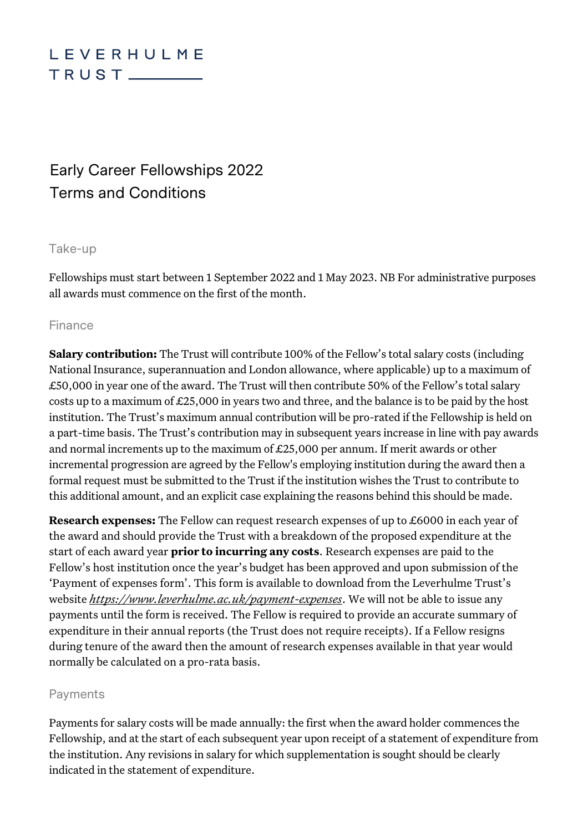# LEVERHULME  $TRUST$

# Early Career Fellowships 2022 Terms and Conditions

#### Take-up

Fellowships must start between 1 September 2022 and 1 May 2023. NB For administrative purposes all awards must commence on the first of the month.

### Finance

**Salary contribution:** The Trust will contribute 100% of the Fellow's total salary costs (including National Insurance, superannuation and London allowance, where applicable) up to a maximum of £50,000 in year one of the award. The Trust will then contribute 50% of the Fellow's total salary costs up to a maximum of £25,000 in years two and three, and the balance is to be paid by the host institution. The Trust's maximum annual contribution will be pro-rated if the Fellowship is held on a part-time basis. The Trust's contribution may in subsequent years increase in line with pay awards and normal increments up to the maximum of £25,000 per annum. If merit awards or other incremental progression are agreed by the Fellow's employing institution during the award then a formal request must be submitted to the Trust if the institution wishes the Trust to contribute to this additional amount, and an explicit case explaining the reasons behind this should be made.

**Research expenses:** The Fellow can request research expenses of up to £6000 in each year of the award and should provide the Trust with a breakdown of the proposed expenditure at the start of each award year **prior to incurring any costs**. Research expenses are paid to the Fellow's host institution once the year's budget has been approved and upon submission of the 'Payment of expenses form'. This form is available to download from the Leverhulme Trust's website *<https://www.leverhulme.ac.uk/payment-expenses>*. We will not be able to issue any payments until the form is received. The Fellow is required to provide an accurate summary of expenditure in their annual reports (the Trust does not require receipts). If a Fellow resigns during tenure of the award then the amount of research expenses available in that year would normally be calculated on a pro-rata basis.

### Payments

Payments for salary costs will be made annually: the first when the award holder commences the Fellowship, and at the start of each subsequent year upon receipt of a statement of expenditure from the institution. Any revisions in salary for which supplementation is sought should be clearly indicated in the statement of expenditure.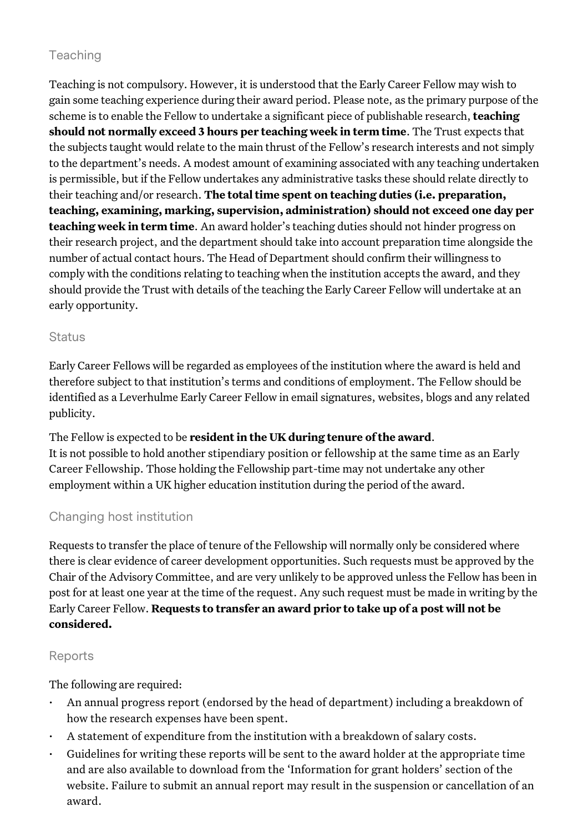## Teaching

Teaching is not compulsory. However, it is understood that the Early Career Fellow may wish to gain some teaching experience during their award period. Please note, as the primary purpose of the scheme is to enable the Fellow to undertake a significant piece of publishable research, **teaching should not normally exceed 3 hours per teaching week in term time**. The Trust expects that the subjects taught would relate to the main thrust of the Fellow's research interests and not simply to the department's needs. A modest amount of examining associated with any teaching undertaken is permissible, but if the Fellow undertakes any administrative tasks these should relate directly to their teaching and/or research. **The total time spent on teaching duties (i.e. preparation, teaching, examining, marking, supervision, administration) should not exceed one day per teaching week in term time**. An award holder's teaching duties should not hinder progress on their research project, and the department should take into account preparation time alongside the number of actual contact hours. The Head of Department should confirm their willingness to comply with the conditions relating to teaching when the institution accepts the award, and they should provide the Trust with details of the teaching the Early Career Fellow will undertake at an early opportunity.

### **Status**

Early Career Fellows will be regarded as employees of the institution where the award is held and therefore subject to that institution's terms and conditions of employment. The Fellow should be identified as a Leverhulme Early Career Fellow in email signatures, websites, blogs and any related publicity.

The Fellow is expected to be **resident in the UK during tenure of the award**. It is not possible to hold another stipendiary position or fellowship at the same time as an Early Career Fellowship. Those holding the Fellowship part-time may not undertake any other employment within a UK higher education institution during the period of the award.

## Changing host institution

Requests to transfer the place of tenure of the Fellowship will normally only be considered where there is clear evidence of career development opportunities. Such requests must be approved by the Chair of the Advisory Committee, and are very unlikely to be approved unless the Fellow has been in post for at least one year at the time of the request. Any such request must be made in writing by the Early Career Fellow. **Requests to transfer an award prior to take up of a post will not be considered.** 

## Reports

The following are required:

- An annual progress report (endorsed by the head of department) including a breakdown of how the research expenses have been spent.
- A statement of expenditure from the institution with a breakdown of salary costs.
- Guidelines for writing these reports will be sent to the award holder at the appropriate time and are also available to download from the 'Information for grant holders' section of the website. Failure to submit an annual report may result in the suspension or cancellation of an award.